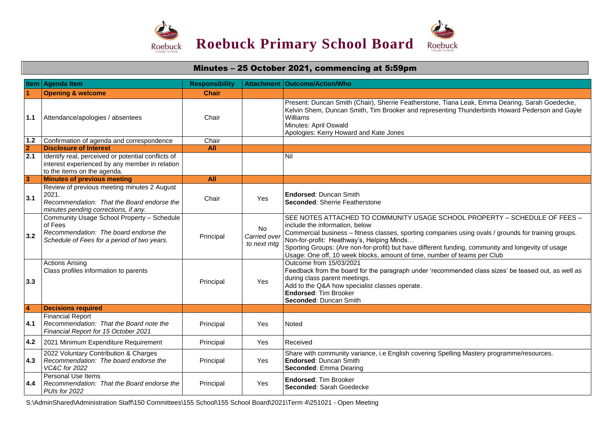

## **Item Agenda Item Responsibility Attachment Outcome/Action/Who 1 Opening & welcome Chair Chair 1.1** Attendance/apologies / absentees Chair Present: Duncan Smith (Chair), Sherrie Featherstone, Tiana Leak, Emma Dearing, Sarah Goedecke, Kelvin Shem, Duncan Smith, Tim Brooker and representing Thunderbirds Howard Pederson and Gayle Williams Minutes: April Oswald Apologies: Kerry Howard and Kate Jones 1.2 Confirmation of agenda and correspondence Chair **2 Disclosure of Interest All 2.1** Identify real, perceived or potential conflicts of interest experienced by any member in relation to the items on the agenda. Nil **3 Minutes of previous meeting All 3.1** Review of previous meeting minutes 2 August 2021. *Recommendation: That the Board endorse the minutes pending corrections, if any.* Chair Yes **Endorsed**: Duncan Smith **Seconded**: Sherrie Featherstone **3.2** Community Usage School Property – Schedule of Fees *Recommendation: The board endorse the Schedule of Fees for a period of two years.* Principal No *Carried over to next mtg* SEE NOTES ATTACHED TO COMMUNITY USAGE SCHOOL PROPERTY – SCHEDULE OF FEES – include the information, below Commercial business – fitness classes, sporting companies using ovals / grounds for training groups. Non-for-profit: Heathway's, Helping Minds… Sporting Groups: (Are non-for-profit) but have different funding, community and longevity of usage Usage: One off, 10 week blocks, amount of time, number of teams per Club **3.3** Actions Arising Class profiles information to parents Principal Yes Outcome from 15/03/2021 Feedback from the board for the paragraph under 'recommended class sizes' be teased out, as well as during class parent meetings. Add to the Q&A how specialist classes operate. **Endorsed**: Tim Brooker **Seconded**: Duncan Smith **4 Decisions required 4.1** Financial Report *Recommendation: That the Board note the Financial Report for 15 October 2021* Principal | Yes Noted **4.2** 2021 Minimum Expenditure Requirement | Principal | Yes | Received **4.3** *Recommendation: The board endorse the*  2022 Voluntary Contribution & Charges *VC&C for 2022* Principal Yes Share with community variance, i.e English covering Spelling Mastery programme/resources. **Endorsed**: Duncan Smith **Seconded**: Emma Dearing **4.4** Personal Use Items *Recommendation: That the Board endorse the PUIs for 2022* Principal Yes **Endorsed**: Tim Brooker **Seconded**: Sarah Goedecke

Minutes – 25 October 2021, commencing at 5:59pm

S:\AdminShared\Administration Staff\150 Committees\155 School\155 School Board\2021\Term 4\251021 - Open Meeting